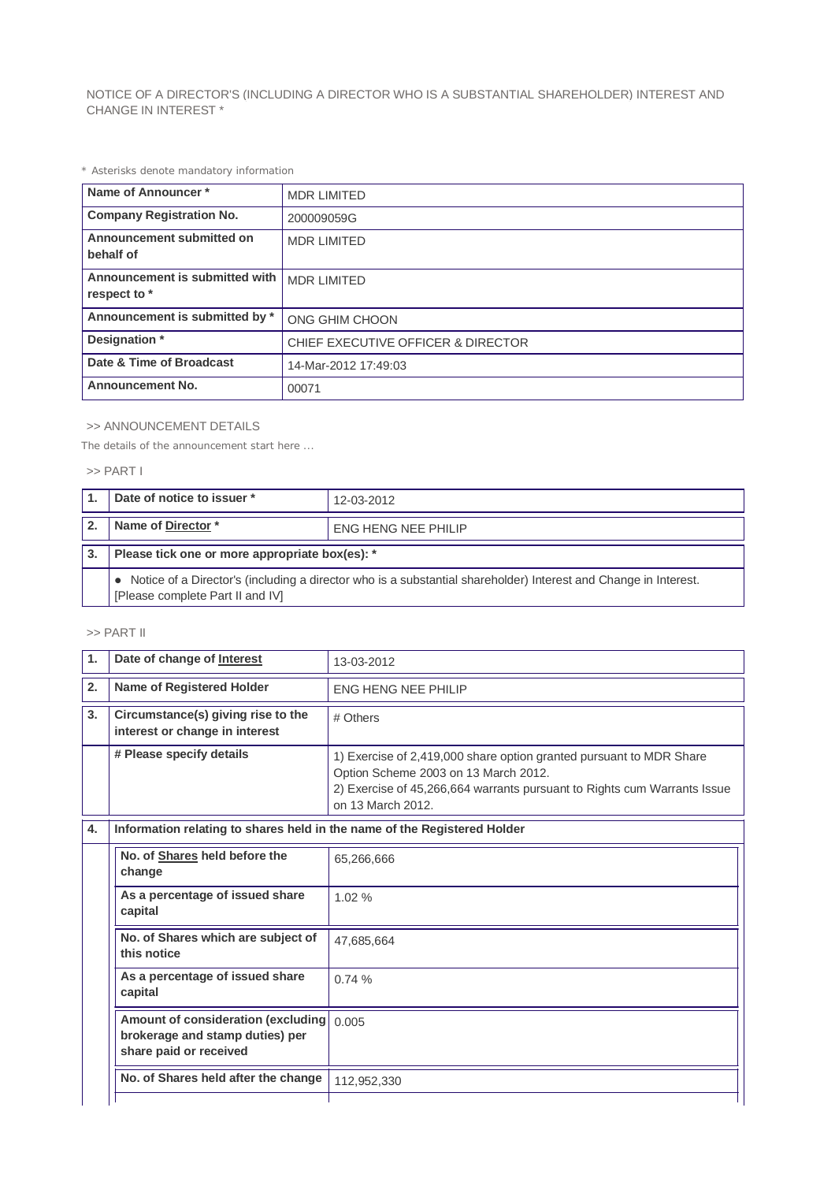NOTICE OF A DIRECTOR'S (INCLUDING A DIRECTOR WHO IS A SUBSTANTIAL SHAREHOLDER) INTEREST AND CHANGE IN INTEREST \*

*\* Asterisks denote mandatory information*

| Name of Announcer*                             | <b>MDR LIMITED</b>                            |  |
|------------------------------------------------|-----------------------------------------------|--|
| <b>Company Registration No.</b>                | 200009059G                                    |  |
| Announcement submitted on<br>behalf of         | <b>MDR LIMITED</b>                            |  |
| Announcement is submitted with<br>respect to * | <b>MDR LIMITED</b>                            |  |
| Announcement is submitted by *                 | ONG GHIM CHOON                                |  |
| Designation *                                  | <b>CHIEF EXECUTIVE OFFICER &amp; DIRECTOR</b> |  |
| Date & Time of Broadcast                       | 14-Mar-2012 17:49:03                          |  |
| <b>Announcement No.</b>                        | 00071                                         |  |

### >> ANNOUNCEMENT DETAILS

*The details of the announcement start here ...*

#### >> PART I

| Date of notice to issuer *<br>12-03-2012                                                                                                              |                            |  |  |  |
|-------------------------------------------------------------------------------------------------------------------------------------------------------|----------------------------|--|--|--|
| Name of Director*                                                                                                                                     | <b>ENG HENG NEE PHILIP</b> |  |  |  |
| Please tick one or more appropriate box(es): *                                                                                                        |                            |  |  |  |
| • Notice of a Director's (including a director who is a substantial shareholder) Interest and Change in Interest.<br>[Please complete Part II and IV] |                            |  |  |  |

#### >> PART II

| 1.                                                                                                       | Date of change of Interest                                               | 13-03-2012                                                                                                                                                                                                   |  |  |
|----------------------------------------------------------------------------------------------------------|--------------------------------------------------------------------------|--------------------------------------------------------------------------------------------------------------------------------------------------------------------------------------------------------------|--|--|
| 2.                                                                                                       | Name of Registered Holder                                                | <b>ENG HENG NEE PHILIP</b>                                                                                                                                                                                   |  |  |
| 3 <sub>1</sub>                                                                                           | Circumstance(s) giving rise to the<br>interest or change in interest     | # Others                                                                                                                                                                                                     |  |  |
|                                                                                                          | # Please specify details                                                 | 1) Exercise of 2,419,000 share option granted pursuant to MDR Share<br>Option Scheme 2003 on 13 March 2012.<br>2) Exercise of 45,266,664 warrants pursuant to Rights cum Warrants Issue<br>on 13 March 2012. |  |  |
| 4.                                                                                                       | Information relating to shares held in the name of the Registered Holder |                                                                                                                                                                                                              |  |  |
|                                                                                                          | No. of Shares held before the<br>change                                  | 65,266,666                                                                                                                                                                                                   |  |  |
|                                                                                                          | As a percentage of issued share<br>capital                               | 1.02%                                                                                                                                                                                                        |  |  |
|                                                                                                          | No. of Shares which are subject of<br>this notice                        | 47,685,664                                                                                                                                                                                                   |  |  |
|                                                                                                          | As a percentage of issued share<br>0.74%<br>capital                      |                                                                                                                                                                                                              |  |  |
| Amount of consideration (excluding<br>0.005<br>brokerage and stamp duties) per<br>share paid or received |                                                                          |                                                                                                                                                                                                              |  |  |
|                                                                                                          | No. of Shares held after the change                                      | 112,952,330                                                                                                                                                                                                  |  |  |
|                                                                                                          |                                                                          |                                                                                                                                                                                                              |  |  |